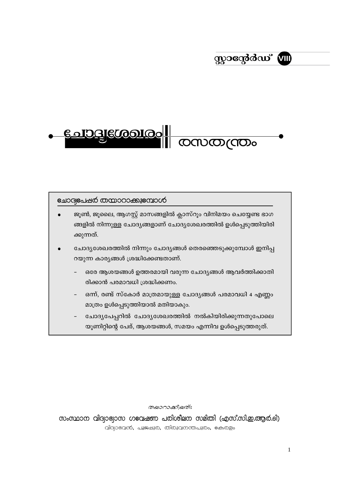# സ്റ്റാന്റേർഡ് **ബ**

## <u> Gologiccooloo</u>

### <u>ലോദ്വഭപഷർ തന്മാറാക്കുഭമ്പാൾ</u>

- ജൂൺ, ജൂലൈ, ആഗസ്റ്റ് മാസങ്ങളിൽ ക്ലാസ്റൂം വിനിമയം ചെയ്യേണ്ട ഭാഗ ങ്ങളിൽ നിന്നുള്ള ചോദ്യങ്ങളാണ് ചോദ്യശേഖരത്തിൽ ഉൾപ്പെടുത്തിയിരി ക്കുന്നത്.
- ചോദ്യശേഖരത്തിൽ നിന്നും ചോദ്യങ്ങൾ തെരഞ്ഞെടുക്കുമ്പോൾ ഇനിപ്പ റയുന്ന കാര്യങ്ങൾ ശ്രദ്ധിക്കേണ്ടതാണ്.
	- ഒരേ ആശയങ്ങൾ ഉത്തരമായി വരുന്ന ചോദ്യങ്ങൾ ആവർത്തിക്കാതി രിക്കാൻ പരമാവധി ശ്രദ്ധിക്കണം.
	- ഒന്ന്, രണ്ട് സ്കോർ മാത്രമായുള്ള ചോദ്യങ്ങൾ പരമാവധി 4 എണ്ണം മാത്രം ഉൾപ്പെടുത്തിയാൽ മതിയാകും.
	- ചോദ്യപേപ്പറിൽ ചോദ്യശേഖരത്തിൽ നൽകിയിരിക്കുന്നതുപോലെ യൂണിറ്റിന്റെ പേര്, ആശയങ്ങൾ, സമയം എന്നിവ ഉൾപ്പെടുത്തരുത്.

തയാറാക്കിയത്ഃ

സംസ്ഥാന വിദ്വാഭ്യാസ ഗeവഷണ പരിശീലന സമിതി (എസ്.സി.ഇ.ആർ.ടി) വിദ്വാഭവൻ, പൂജഷുര, തിരുവനന്തപുരം, ഭകരളം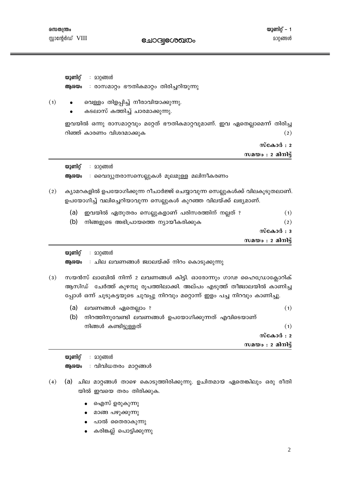൜തന്ത്രം സ്റ്റാന്റേർഡ് VIII

**emodile@onco** 

യൂണിറ്റ് – 1 മാറ്റങ്ങൾ

യുണിറ്റ് : മാറ്റങ്ങൾ അശയം : രാസമാറ്റം ഭൗതികമാറ്റം തിരിച്ചറിയുന്നു  $(1)$ വെള്ളം തിളപ്പിച്ച് നീരാവിയാക്കുന്നു. കടലാസ് കത്തിച്ച് ചാരമാക്കുന്നു. ഇവയിൽ ഒന്നു രാസമാറ്റവും മറ്റേത് ഭൗതികമാറ്റവുമാണ്. ഇവ ഏതെല്ലാമെന്ന് തിരിച്ച റിഞ്ഞ് കാരണം വിശദമാക്കുക  $(2)$ സ്കോർ $: 2$ സമയം : 2 മിനിട്ട് യൂണിറ് : മാറ്റങ്ങൾ ആശയം : വൈദ്യുതരാസസെല്ലുകൾ മൂലമുള്ള മലിനീകരണം ക്യാമറകളിൽ ഉപയോഗിക്കുന്ന റീചാർജ്ജ് ചെയ്യാവുന്ന സെല്ലുകൾക്ക് വിലകുടുതലാണ്.  $(2)$ ഉപയോഗിച്ച് വലിച്ചെറിയാവുന്ന സെല്ലുകൾ കുറഞ്ഞ വിലയ്ക്ക് ലഭ്യമാണ്. ഇവയിൽ ഏതുതരം സെല്ലുകളാണ് പരിസരത്തിന് നല്ലത് ?  $(1)$  $(a)$ (b) നിങ്ങളുടെ അഭിപ്രായത്തെ ന്യായീകരിക്കുക  $(2)$  $\omega$  $\cos \theta :$ സമയം $: 2$  മിനിട്ട് യുണിറ്റ് : മാറ്റങ്ങൾ ആശയം : ചില ലവണങ്ങൾ ജ്വാലയ്ക്ക് നിറം കൊടുക്കുന്നു  $(3)$ സയൻസ് ലാബിൽ നിന്ന് 2 ലവണങ്ങൾ കിട്ടി. ഓരോന്നും ഗാഢ ഹൈഡ്രോക്ലോറിക് ആസിഡ് ചേർത്ത് കുഴമ്പു രൂപത്തിലാക്കി. അല്പം എടുത്ത് തീജ്വാലയിൽ കാണിച്ച പ്പോൾ ഒന്ന് ചൂടുകട്ടയുടെ ചുവപ്പു നിറവും മറ്റൊന്ന് ഇളം പച്ച നിറവും കാണിച്ചു.  $(a)$ ലവണങ്ങൾ ഏതെല്ലാം ?  $(1)$ (b) നിറത്തിനുവേണ്ടി ലവണങ്ങൾ ഉപയോഗിക്കുന്നത് എവിടെയാണ് നിങ്ങൾ കണ്ടിട്ടുള്ളത്  $(1)$ 

സ്കോർ $: 2$ സമയം $: 2$  മിനിട്ട്

യുണിറ്റ് : മാറ്റങ്ങൾ

ആശയം : വിവിധതരം മാറ്റങ്ങൾ

- (4) (a) ചില മാറ്റങ്ങൾ താഴെ കൊടുത്തിരിക്കുന്നു. ഉചിതമായ ഏതെങ്കിലും ഒരു രീതി യിൽ ഇവയെ തരം തിരിക്കുക.
	- ഐസ് ഉരുകുന്നു
	- മാങ്ങ പഴുക്കുന്നു
	- പാൽ തൈരാകുന്നു
	- കരിങ്കല്ല് പൊട്ടിക്കുന്നു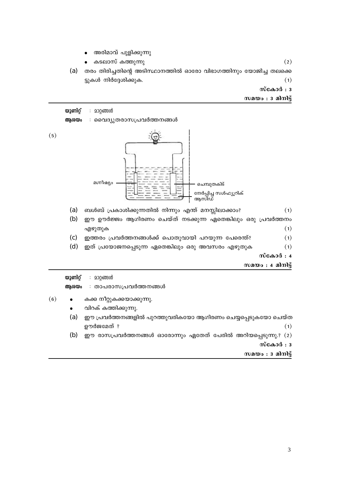

തരം തിരിച്ചതിന്റെ അടിസ്ഥാനത്തിൽ ഓരോ വിഭാഗത്തിനും യോജിച്ച തലക്കെ

അരിമാവ് പുളിക്കുന്നു കടലാസ് കത്തുന്നു

ട്ടുകൾ നിർദ്ദേശിക്കുക.

 $(a)$ 

സമയം $:$  3 മിനിട്ട്

 $(2)$ 

 $(1)$ 

സ്കോർ $: 3$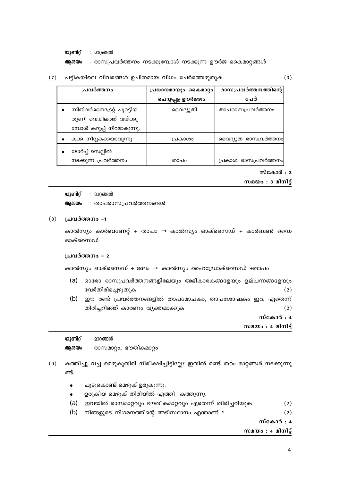യുണിറ്റ് : മാറ്റങ്ങൾ

ആശയം : രാസപ്രവർത്തനം നടക്കുമ്പോൾ നടക്കുന്ന ഊർജ കൈമാറ്റങ്ങൾ

പട്ടികയിലെ വിവരങ്ങൾ ഉചിതമായ വിധം ചേർത്തെഴുതുക.  $(7)$ 

| പ്രവർത്തനം                 | പ്രധാനമായും കൈമാറ്റം | രാസപ്രവർത്തനത്തിന്റെ |
|----------------------------|----------------------|----------------------|
|                            | ചെയ്യപ്പട്ട ഊർജ്ജം   | പേര്                 |
| സിൽവർനൈട്രേറ്റ് പുരട്ടിയ   | വൈദ്യുതി             | താപരാസപ്രവർത്തനം     |
| തുണി വെയിലത്ത് വയ്ക്കു     |                      |                      |
| മ്പോൾ കറുപ്പ് നിറമാകുന്നു. |                      |                      |
| കക്ക നീറ്റുകക്കയാവുന്നു    | പ്രകാശം              | വൈദ്യുത രാസവ്രർത്തനം |
| ടോർച്ച് സെല്ലിൽ            |                      |                      |
| നടക്കുന്ന പ്രവർത്തനം       | താപറ                 | പ്രകാശ രാസപ്രവർത്തനം |

 $\tilde{\text{m}}$ കോർ: 3

 $(3)$ 

സമയം  $: 3$  മിനിട്ട്

യൂണിറ്റ് : മാറ്റങ്ങൾ

ആശയം : താപരാസപ്രവർത്തനങ്ങൾ

 $(8)$ പ്രവർത്തനം -1

> കാൽസ്യം കാർബണേറ്റ് + താപം  $\rightarrow$  കാൽസ്യം ഓക്സൈഡ് + കാർബൺ ഡൈ ഓക്സൈഡ്

#### പ്രവർത്തനം - 2

കാൽസ്യം ഓക്സൈഡ് + ജലം  $\rightarrow$  കാൽസ്യം ഹൈഡ്രോക്സൈഡ് +താപം

- (a) ഓരോ രാസപ്രവർത്തനങ്ങളിലേയും അഭികാരകങ്ങളേയും ഉല്പന്നങ്ങളേയും വേർതിരിച്ചെഴുതുക  $(2)$
- ഈ രണ്ട് പ്രവർത്തനങ്ങളിൽ താപമോചകം, താപശോഷകം ഇവ ഏതെന്ന് (b) തിരിച്ചറിഞ്ഞ് കാരണം വ്യക്തമാക്കുക  $(2)$

സ്കോർ $: 4$ 

സമയം : 4 മിനിട്ട്

യുണിറ്റ് : മാറ്റങ്ങൾ

: രാസമാറ്റം, ഭൗതികമാറ്റം ആശയം

- കത്തിച്ചു വച്ച മെഴുകുതിരി നിരീക്ഷിച്ചിട്ടില്ലേ? ഇതിൽ രണ്ട് തരം മാറ്റങ്ങൾ നടക്കുന്നു  $(9)$ ണ്ട്.
	- ചൂടുകൊണ്ട് മെഴുക് ഉരുകുന്നു.  $\bullet$
	- ഉരുകിയ മെഴുക് തിരിയിൽ എത്തി കത്തുന്നു.  $\bullet$
	- ഇവയിൽ രാസമാറ്റവും ഭൗതീകമാറ്റവും ഏതെന്ന് തിരിച്ചറിയുക  $(a)$  $(2)$
	- $(b)$ നിങ്ങളുടെ നിഗമനത്തിന്റെ അടിസ്ഥാനം എന്താണ് ?  $(2)$

സ്കോർ : 4

സമയം : 4 മിനിട്ട്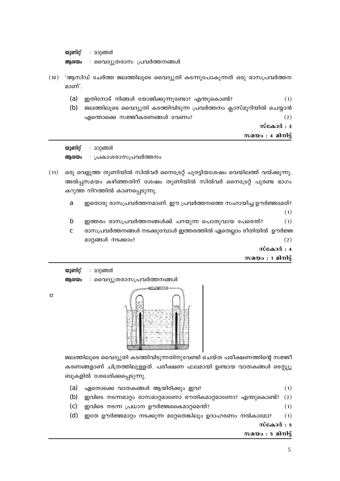യുണിറ്റ് : മാറ്റങ്ങൾ : വൈദ്യുതരാസ പ്രവർത്തനങ്ങൾ ആശയം

- (10) 'ആസിഡ് ചേർത്ത ജലത്തിലൂടെ വൈദ്യുതി കടന്നുപോകുന്നത് ഒരു രാസപ്രവർത്തന മാണ്'.
	- $(a)$ ഇതിനോട് നിങ്ങൾ യോജിക്കുന്നുണ്ടോ? എന്തുകൊണ്ട്?  $(1)$
	- ജലത്തിലൂടെ വൈദ്യുതി കടത്തിവിടുന്ന പ്രവർത്തനം ക്ലാസ്മുറിയിൽ ചെയ്യാൻ (b) എന്തൊക്കെ സജ്ജീകരണങ്ങൾ വേണം?  $(2)$

സ്കോർ $: 3$ 

സമയം : 4 മിനിട്

യൂണിറ് : മാറ്റങ്ങൾ അശയം : പ്രകാശരാസപ്രവർത്തനം

- (11) ഒരു വെളുത്ത തുണിയിൽ സിൽവർ നൈട്രേറ്റ് പുരട്ടിയശേഷം വെയിലത്ത് വയ്ക്കുന്നു. അൽപ്പസമയം കഴിഞ്ഞതിന് ശേഷം തുണിയിൽ സിൽവർ നൈട്രേറ്റ് പുരണ്ട ഭാഗം കറുത്ത നിറത്തിൽ കാണപ്പെടുന്നു.
	- a ഇതൊരു രാസപ്രവർത്തനമാണ്. ഈ പ്രവർത്തനത്തെ സഹായിച്ച ഊർജ്ജമേത്?  $(1)$
	- $\mathbf b$ ഇത്തരം രാസപ്രവർത്തനങ്ങൾക്ക് പറയുന്ന പൊതുവായ പേരെന്ത്?  $(1)$
	- രാസപ്രവർത്തനങ്ങൾ നടക്കുമ്പോൾ ഇത്തരത്തിൽ ഏതെല്ലാം രീതിയിൽ ഊർജ്ജ  $\mathbf{c}$ മാറ്റങ്ങൾ നടക്കാം?  $(2)$

സ്കോർ : 4

സമയം : 1 മിനിട്ട്

യുണിറ്റ് : മാറ്റങ്ങൾ : വൈദ്യുതരാസപ്രവർത്തനങ്ങൾ അശയം



ജലത്തിലൂടെ വൈദ്യുതി കടത്തിവിടുന്നതിനുവേണ്ടി ചെയ്ത പരീക്ഷണത്തിന്റെ സജ്ജീ കരണങ്ങളാണ് ചിത്രത്തിലുള്ളത്. പരീക്ഷണ ഫലമായി ഉണ്ടായ വാതകങ്ങൾ ടെസ്റ്റ്യൂ ബുകളിൽ ശേഖരിക്കപ്പെടുന്നു.

- ഏതൊക്കെ വാതകങ്ങൾ ആയിരിക്കും ഇവ?  $(a)$  $(1)$
- $(b)$ ഇവിടെ നടന്നമാറ്റം രാസമാറ്റമാണോ ഭൗതികമാറ്റമാണോ? എന്തുകൊണ്ട്? (2)  $(1)$
- $(c)$ ഇവിടെ നടന്ന പ്രധാന ഊർജ്ജകൈമാറ്റമെന്ത്?
- $(d)$ ഇതേ ഊർജ്ജമാറ്റം നടക്കുന്ന മറ്റേതെങ്കിലും ഉദാഹരണം നൽകാമോ?  $(1)$

സ്കോർ : 5

5

സമയം : 5 മിനിട്ട്

 $12$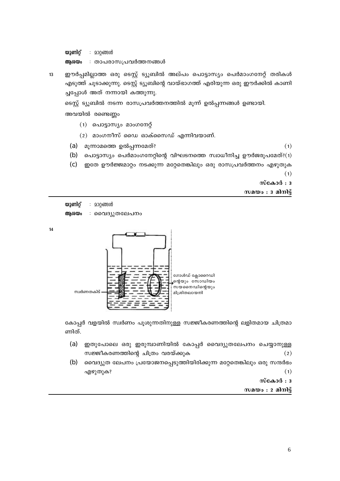6

യുണിറ്റ് : മാറ്റങ്ങൾ ആശയം : താപരാസപ്രവർത്തനങ്ങൾ

 $13$ 

ഈർപ്പമില്ലാത്ത ഒരു ടെസ്റ്റ് ട്യൂബിൽ അല്പം പൊട്ടാസ്യം പെർമാംഗനേറ്റ് തരികൾ എടുത്ത് ചൂടാക്കുന്നു. ടെസ്റ്റ് ട്യൂബിന്റെ വായ്ഭാഗത്ത് എരിയുന്ന ഒരു ഈർക്കിൽ കാണി ച്ചപ്പോൾ അത് നന്നായി കത്തുന്നു.

ടെസ്റ്റ് ട്യൂബിൽ നടന്ന രാസപ്രവർത്തനത്തിൽ മൂന്ന് ഉൽപ്പന്നങ്ങൾ ഉണ്ടായി.

അവയിൽ രണ്ടെണ്ണം

- (1) പൊട്ടാസ്യം മാംഗനേറ്റ്
- $(2)$  മാംഗനീസ് ഡൈ ഓക്സൈഡ് എന്നിവയാണ്.
- (a) മൂന്നാമത്തെ ഉൽപ്പന്നമേത്?

 $(1)$ 

- $(b)$ പൊട്ടാസ്യം പെർമാംഗനേറ്റിന്റെ വിഘടനത്തെ സ്വാധീനിച്ച ഊർജരൂപമേത്?(1)
- ഇതേ ഊർജ്ജമാറ്റം നടക്കുന്ന മറ്റേതെങ്കിലും ഒരു രാസപ്രവർത്തനം എഴുതുക  $(c)$

 $(1)$ 

 $\tilde{\text{m}}$ കോർ: 3

സമയം  $: 3$  മിനിട്ട്

യുണിറ്റ് : മാറ്റങ്ങൾ

ആശയം : വൈദ്യുതലേപനം





കോപ്പർ വളയിൽ സ്വർണം പൂശുന്നതിനുള്ള സജ്ജീകരണത്തിന്റെ ലളിതമായ ചിത്രമാ

 $(a)$ ഇതുപോലെ ഒരു ഇരുമ്പാണിയിൽ കോപ്പർ വൈദ്യുതലേപനം ചെയ്യാനുള്ള

ണിത്.

സജ്ജീകരണത്തിന്റെ ചിത്രം വരയ്ക്കുക  $(2)$ 

(b) വൈദ്യുത ലേപനം പ്രയോജനപ്പെടുത്തിയിരിക്കുന്ന മറ്റേതെങ്കിലും ഒരു സന്ദർഭം എഴുതുക?

 $(1)$ 

 $\omega$   $\cos \theta :$ 

സമയം : 2 മിനിട്ട്

 $14$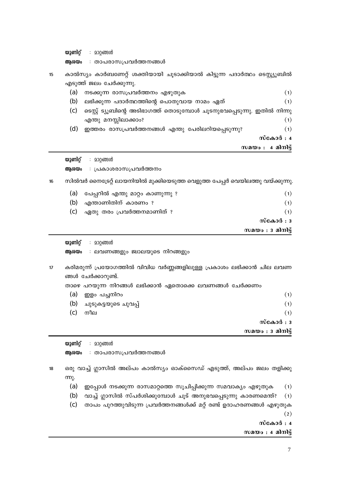യുണിറ്റ് : മാറ്റങ്ങൾ

ആശയം : താപരാസപ്രവർത്തനങ്ങൾ

കാൽസ്യം കാർബണേറ്റ് ശക്തിയായി ചൂടാക്കിയാൽ കിട്ടുന്ന പദാർത്ഥം ടെസ്റ്റ്യൂബിൽ  $15<sup>15</sup>$ എടുത്ത് ജലം ചേർക്കുന്നു.

| (a) | നടക്കുന്ന രാസപ്രവർത്തനം എഴുതുക                                          | (1)       |
|-----|-------------------------------------------------------------------------|-----------|
| (b) | ലഭിക്കുന്ന പദാർത്ഥത്തിന്റെ പൊതുവായ നാമം ഏത്                             | (1)       |
| (c) | ടെസ്റ്റ് ട്യൂബിന്റെ അടിഭാഗത്ത് തൊടുമ്പോൾ ചൂടനുഭവപ്പെടുന്നു. ഇതിൽ നിന്നു |           |
|     | എന്തു മനസ്സിലാക്കാം?                                                    | (1)       |
| (d) | ഇത്തരം രാസപ്രവർത്തനങ്ങൾ എന്തു പേരിലറിയപ്പെടുന്നു?                       | (1)       |
|     |                                                                         | സ്കോർ : 4 |
|     | സമയം : $\alpha$ മിനിട്ട്                                                |           |
|     |                                                                         |           |

: മാറ്റങ്ങൾ യുണിറ്റ് : പ്രകാശരാസപ്രവർത്തനം ആശയം

സിൽവർ നൈട്രേറ്റ് ലായനിയിൽ മുക്കിയെടുത്ത വെളുത്ത പേപ്പർ വെയിലത്തു വയ്ക്കുന്നു.  $16$ 

| (a) | പേപ്പറിൽ എന്തു മാറ്റം കാണുന്നു ? | (1)                 |
|-----|----------------------------------|---------------------|
| (b) | എന്താണിതിന് കാരണം ?              | (1)                 |
| (c) | ഏതു തരം പ്രവർത്തനമാണിത് ?        | (1)                 |
|     |                                  | സ്കോർ $: 3$         |
|     |                                  | സമയം : $3$ മിനിട്ട് |

യുണിറ്റ് : മാറ്റങ്ങൾ

- ആശയം : ലവണങ്ങളും ജ്വാലയുടെ നിറങ്ങളും
- കരിമരുന്ന് പ്രയോഗത്തിൽ വിവിധ വർണ്ണങ്ങളിലുള്ള പ്രകാശം ലഭിക്കാൻ ചില ലവണ  $17$ ങ്ങൾ ചേർക്കാറുണ്ട്.

താഴെ പറയുന്ന നിറങ്ങൾ ലഭിക്കാൻ ഏതൊക്കെ ലവണങ്ങൾ ചേർക്കണം

| (a) | ഇളം പച്ചനിറം             | (1)         |
|-----|--------------------------|-------------|
|     | (b) ചുടുകട്ടയുടെ ചുവപ്പ് | (1)         |
| (c) | നീല                      | (1)         |
|     |                          | സ്കോർ $: 3$ |

| സാണിറ് | <u>വാത്തൾ</u><br>$\bullet$ |  |  |
|--------|----------------------------|--|--|

| mîerniŏ | <b>200601300</b> |  |
|---------|------------------|--|
|         |                  |  |

ആരയം : താപരാസപ്രവർത്തനങ്ങൾ

ഒരു വാച്ച് ഗ്ലാസിൽ അല്പം കാൽസ്യം ഓക്സൈഡ് എടുത്ത്, അല്പം ജലം തളിക്കു 18  $m<sub>λ</sub>$ .

- $(a)$ ഇപ്പോൾ നടക്കുന്ന രാസമാറ്റത്തെ സൂചിപ്പിക്കുന്ന സമവാക്യം എഴുതുക  $(1)$
- $(b)$ വാച്ച് ഗ്ലാസിൽ സ്പർശിക്കുമ്പോൾ ചൂട് അനുഭവപ്പെടുന്നു കാരണമെന്ത്?  $(1)$

| (c) താപം പുറത്തുവിടുന്ന പ്രവർത്തനങ്ങൾക്ക് മറ്റ് രണ്ട് ഉദാഹരണങ്ങൾ എഴുതുക |  |  |     |
|-------------------------------------------------------------------------|--|--|-----|
|                                                                         |  |  | (2) |

സ്കോർ $: 4$ 

സമയം : 4 മിനിട്ട്

സമയം  $: 3$  മിനിട്ട്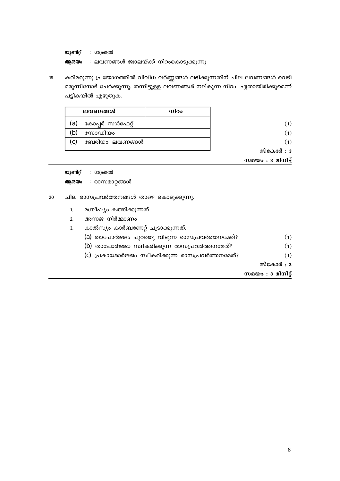യുണിറ്റ് : മാറ്റങ്ങൾ : ലവണങ്ങൾ ജ്വാലയ്ക്ക് നിറംകൊടുക്കുന്നു ആശയം

കരിമരുന്നു പ്രയോഗത്തിൽ വിവിധ വർണ്ണങ്ങൾ ലഭിക്കുന്നതിന് ചില ലവണങ്ങൾ വെടി 19 മരുന്നിനോട് ചേർക്കുന്നു. തന്നിട്ടുള്ള ലവണങ്ങൾ നല്കുന്ന നിറം ഏതായിരിക്കുമെന്ന് പട്ടികയിൽ എഴുതുക.

| ലവണങ്ങൾ                | നിറം |
|------------------------|------|
| കോപ്പർ സൾഫേറ്റ്<br>(a) |      |
| സോഡിയം                 |      |
| ബേരിയം ലവണങ്ങൾ <br>C.  |      |
|                        |      |

സമയം : 3 മിനിട്ട്

യൂണിറ് : മാറ്റങ്ങൾ

ആശയം : രാസമാറ്റങ്ങൾ

- 20 ചില രാസപ്രവർത്തനങ്ങൾ താഴെ കൊടുക്കുന്നു.
	- മഗ്നീഷ്യം കത്തിക്കുന്നത്  $1<sub>1</sub>$
	- $\overline{2}$ . അന്നജ നിർമ്മാണം
	- $\overline{3}$ . കാൽസ്യം കാർബണേറ്റ് ചൂടാക്കുന്നത്.
		- (a) താപോർജ്ജം പുറത്തു വിടുന്ന രാസപ്രവർത്തനമേത്?  $(1)$
		- (b) താപോർജ്ജം സ്വീകരിക്കുന്ന രാസപ്രവർത്തനമേത്?  $(1)$
		- (c) പ്രകാശോർജ്ജം സ്വീകരിക്കുന്ന രാസപ്രവർത്തനമേത്?  $(1)$ 
			- സ്കോർ $: 3$

സമയം :  $3$  മിനിട്ട്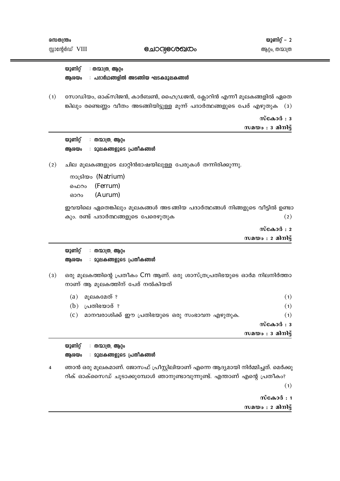**enoclecoonco** 

യുണിറ്റ് : തന്മാത്ര, ആറ്റം ആശയം : പദാർഥങ്ങളിൽ അടങ്ങിയ ഘടകമൂലകങ്ങ**ൾ** 

 $(1)$ സോഡിയം, ഓക്സിജൻ, കാർബൺ, ഹൈഡ്രജൻ, ക്ലോറിൻ എന്നീ മൂലകങ്ങളിൽ ഏതെ ങ്കിലും രണ്ടെണ്ണം വീതം അടങ്ങിയിട്ടുള്ള മൂന്ന് പദാർത്ഥങ്ങളുടെ പേര് എഴുതുക (3)

> $\omega$  $\cos \theta :$ സമയം :  $3$  മിനിട്ട്

| യുണിറ്റ് | തന്മാത്ര, ആറ്റം                  |  |
|----------|----------------------------------|--|
| അശയം     | <b>: മൂലകങ്ങളുടെ പ്രതീകങ്ങ</b> ൾ |  |

 $(2)$ ചില മൂലകങ്ങളുടെ ലാറ്റിൻഭാഷയിലുള്ള പേരുകൾ തന്നിരിക്കുന്നു.

> mouslopo (Natrium) ഐറം (Ferrum) (Aurum) ഓറം

ഇവയിലെ ഏതെങ്കിലും മൂലകങ്ങൾ അടങ്ങിയ പദാർത്ഥങ്ങൾ നിങ്ങളുടെ വീട്ടിൽ ഉണ്ടാ കും. രണ്ട് പദാർത്ഥങ്ങളുടെ പേരെഴുതുക  $(2)$ 

 $\omega$ ca $\omega$ d: 2

സമയം  $: 2$  മിനിട്ട്

യൂണിറ് : തന്മാത്ര, ആറ്റം ആശയം : മൂലകങ്ങളുടെ പ്രതീകങ്ങ**ൾ** 

ഒരു മൂലകത്തിന്റെ പ്രതീകം Cm ആണ്. ഒരു ശാസ്ത്രപ്രതിഭയുടെ ഓർമ നിലനിർത്താ  $(3)$ നാണ് ആ മുലകത്തിന് പേര് നൽകിയത്

|     |                                              | സമയം : $3$ മിനിട്ട് |
|-----|----------------------------------------------|---------------------|
|     |                                              | സ്കോർ : 3           |
| (C) | മാനവരാശിക്ക് ഈ പ്രതിഭയുടെ ഒരു സംഭാവന എഴുതുക. | (1)                 |
| (b) | പ്രതിഭയാര് ?                                 | (1)                 |
| (a) | മുലകമേത് ?                                   | (1)                 |

|      | യൂണിറ്റ് : തന്മാത്ര, ആറ്റം       |  |
|------|----------------------------------|--|
| ആശയം | : മൂലകങ്ങളുടെ പ്രതീകങ്ങ <b>ൾ</b> |  |

ഞാൻ ഒരു മൂലകമാണ്. ജോസഫ് പ്രീസ്റ്റിലിയാണ് എന്നെ ആദ്യമായി നിർമ്മിച്ചത്. മെർക്കു  $\overline{\mathbf{4}}$ റിക് ഓക്സൈഡ് ചൂടാക്കുമ്പോൾ ഞാനുണ്ടാവുന്നുണ്ട്. എന്താണ് എന്റെ പ്രതീകം?

 $(1)$ 

സ്കോർ $: 1$ സമയം :  $2$  മിനിട്ട്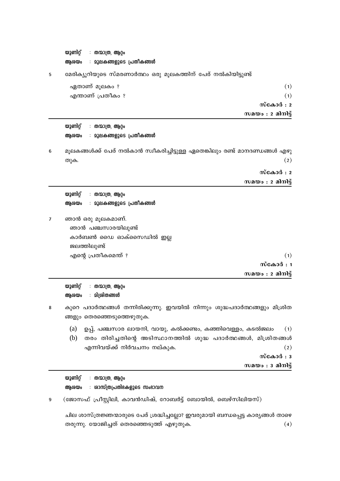യുണിറ്റ് : തന്മാത്ര, ആറ്റം ആശയം : മൂലകങ്ങളുടെ പ്രതീകങ്ങ**ൾ** മേരിക്യൂറിയുടെ സ്മരണാർത്ഥം ഒരു മൂലകത്തിന് പേര് നൽകിയിട്ടുണ്ട് 5 ഏതാണ് മൂലകം ?  $(1)$  $(1)$ എന്താണ് പ്രതീകം ? സ്കോർ $: 2$ സമയം : 2 മിനിട്ട് യൂണിറ് : തന്മാത്ര, ആറം : മൂലകങ്ങളുടെ പ്രതീക**ങ്ങ**ൾ ആശയം മൂലകങ്ങൾക്ക് പേര് നൽകാൻ സ്വീകരിച്ചിട്ടുള്ള ഏതെങ്കിലും രണ്ട് മാനദണ്ഡങ്ങൾ എഴു 6  $(2)$ ത്ര)ക. സ്കോർ $: 2$ സമയം  $: 2$  മിനിട്ട് യൂണിറ്റ് : തന്മാത്ര, ആറ്റം ആശയം : മൂലകങ്ങളുടെ പ്രതീകങ്ങ**ൾ** ഞാൻ ഒരു മൂലകമാണ്.  $\overline{7}$ ഞാൻ പഞ്ചസാരയിലുണ്ട് കാർബൺ ഡൈ ഓക്സൈഡിൽ ഇല്ല ജലത്തിലുണ്ട് എന്റെ പ്രതീകമെന്ത് ?  $(1)$ സ്കോർ $: 1$ സമയം : 2 മിനിട്ട് യുണിറ്റ് : തന്മാത്ര, ആറ്റം ആശയം : മിശിതങ്ങൾ കുറെ പദാർത്ഥങ്ങൾ തന്നിരിക്കുന്നു. ഇവയിൽ നിന്നും ശുദ്ധപദാർത്ഥങ്ങളും മിശ്രിത 8 ങ്ങളും തെരഞ്ഞെടുത്തെഴുതുക.  $(a)$ ഉപ്പ്, പഞ്ചസാര ലായനി, വായു, കൽക്കണ്ടം, കഞ്ഞിവെള്ളം, കടൽജലം  $(1)$ (b) തരം തിരിച്ചതിന്റെ അടിസ്ഥാനത്തിൽ ശുദ്ധ പദാർത്ഥങ്ങൾ, മിശ്രിതങ്ങൾ എന്നിവയ്ക്ക് നിർവചനം നല്കുക.  $(2)$ സ്കോർ $: 3$ സമയം $: 3$  മിനിട്ട്

യുണിറ്റ് : തന്മാത്ര, ആറ്റം : ശാസ്ത്രപ്രതിഭകളുടെ സംഭാവന ആശയം

(ജോസഫ് പ്രീസ്റ്റിലി, കാവൻഡിഷ്, റോബർട്ട് ബോയിൽ, ബെഴ്സിലിയസ്)  $\mathbf{Q}$ 

ചില ശാസ്ത്രജ്ഞന്മാരുടെ പേര് ശ്രദ്ധിച്ചല്ലോ? ഇവരുമായി ബന്ധപ്പെട്ട കാര്യങ്ങൾ താഴെ തരുന്നു. യോജിച്ചത് തെരഞ്ഞെടുത്ത് എഴുതുക.  $(4)$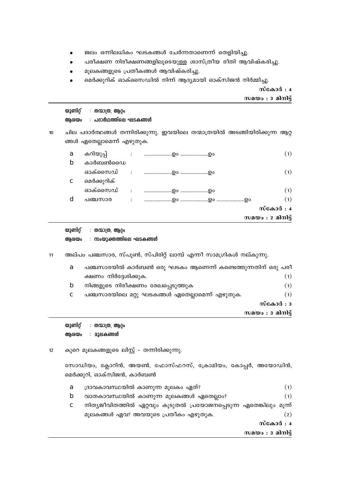- ജലം ഒന്നിലധികം ഘടകങ്ങൾ ചേർന്നതാണെന്ന് തെളിയിച്ചു.  $\bullet$
- പരീക്ഷണ നിരീക്ഷണങ്ങളിലൂടെയുള്ള ശാസ്ത്രീയ രീതി ആവിഷ്കരിച്ചു.
- മൂലകങ്ങളുടെ പ്രതീകങ്ങൾ ആവിഷ്കരിച്ചു.  $\bullet$
- മെർക്കുറിക് ഓക്സൈഡിൽ നിന്ന് ആദ്യമായി ഓക്സിജൻ നിർമ്മിച്ചു.

## സ്കോർ $: 4$

| സമയം $: 3$ മിനിട്ട് |  |  |
|---------------------|--|--|
|                     |  |  |

|    | യൂണിറ്റ്<br>ആശയം                                                                                                                                                                                                                                                                                                                                                                        | : തന്മാത്ര, ആറ്റം<br>: പദാർഥത്തിലെ ഘടകങ്ങ <b>ൾ</b>                              |                                   |  |  |  |
|----|-----------------------------------------------------------------------------------------------------------------------------------------------------------------------------------------------------------------------------------------------------------------------------------------------------------------------------------------------------------------------------------------|---------------------------------------------------------------------------------|-----------------------------------|--|--|--|
| 10 | ചില പദാർത്ഥങ്ങൾ തന്നിരിക്കുന്നു. ഇവയിലെ തന്മാത്രയിൽ അടങ്ങിയിരിക്കുന്ന ആറ്റ<br>ങ്ങൾ ഏതെല്ലാമെന്ന് എഴുതുക.                                                                                                                                                                                                                                                                                |                                                                                 |                                   |  |  |  |
|    | a<br>$\mathbf b$                                                                                                                                                                                                                                                                                                                                                                        | കറിയുപ്പ്<br>കാർബൺഡൈ                                                            | (1)                               |  |  |  |
|    | $\mathbf{c}$                                                                                                                                                                                                                                                                                                                                                                            | ഓക്സൈഡ്<br>മെർക്കുറിക്                                                          | (1)                               |  |  |  |
|    |                                                                                                                                                                                                                                                                                                                                                                                         |                                                                                 | (1)                               |  |  |  |
|    | $\mathbf d$                                                                                                                                                                                                                                                                                                                                                                             | പഞ്ചസാര                                                                         | (1)                               |  |  |  |
|    |                                                                                                                                                                                                                                                                                                                                                                                         |                                                                                 | സ്കോർ : 4                         |  |  |  |
|    |                                                                                                                                                                                                                                                                                                                                                                                         |                                                                                 | സമയം : $\bm{\mathsf{2}}$ മിനിട്ട് |  |  |  |
| 11 | യുണിറ്റ്<br>: തന്മാത്ര, ആറ്റം<br>: സംയുക്തത്തിലെ ഘടകങ്ങ <b>ൾ</b><br>ആശയം<br>അല്പം പഞ്ചസാര, സ്പൂൺ, സ്പിരിറ്റ് ലാമ്പ് എന്നീ സാമഗ്രികൾ നല്കുന്നു.<br>പഞ്ചസാരയിൽ കാർബൺ ഒരു ഘടകം ആണെന്ന് കണ്ടെത്തുന്നതിന് ഒരു പരീ<br>a<br>ക്ഷണം നിർദ്ദേശിക്കുക.<br>(1)<br>$\mathbf b$<br>നിങ്ങളുടെ നിരീക്ഷണം രേഖപ്പെടുത്തുക<br>(1)<br>പഞ്ചസാരയിലെ മറ്റു ഘടകങ്ങൾ ഏതെല്ലാമെന്ന് എഴുതുക.<br>(1)<br>$\mathbf{C}$ |                                                                                 |                                   |  |  |  |
|    | സ്കോർ : 3                                                                                                                                                                                                                                                                                                                                                                               |                                                                                 |                                   |  |  |  |
|    |                                                                                                                                                                                                                                                                                                                                                                                         |                                                                                 | സമയം $:$ 3 മിനിട്ട്               |  |  |  |
| 12 | യൂണിറ്റ്<br>ആശയം                                                                                                                                                                                                                                                                                                                                                                        | : തന്മാത്ര, ആറ്റം<br>: മൂലകങ്ങൾ<br>കുറെ മൂലകങ്ങളുടെ ലിസ്റ്റ് – തന്നിരിക്കുന്നു. |                                   |  |  |  |
|    | സോഡിയം, ക്ലോറിൻ, അയൺ, ഫോസ്ഫറസ്, ക്രോമിയം, കോപ്പർ, അയോഡിൻ,<br>മെർക്കുറി, ഓക്സിജൻ, കാർബൺ                                                                                                                                                                                                                                                                                                  |                                                                                 |                                   |  |  |  |
|    | a                                                                                                                                                                                                                                                                                                                                                                                       | ദ്രാവകാവസ്ഥയിൽ കാണുന്ന മൂലകം ഏത്?                                               | (1)                               |  |  |  |
|    | $\mathbf b$                                                                                                                                                                                                                                                                                                                                                                             | വാതകാവസ്ഥയിൽ കാണുന്ന മുലകങ്ങൾ ഏതെല്ലാം?                                         | (1)                               |  |  |  |
|    | $\mathbf c$                                                                                                                                                                                                                                                                                                                                                                             | നിത്യജീവിതത്തിൽ ഏറ്റവും കൂടുതൽ പ്രയോജനപ്പെടുന്ന ഏതെങ്കിലും മൂന്ന്               |                                   |  |  |  |

മൂലകങ്ങൾ ഏവ? അവയുടെ പ്രതീകം എഴുതുക.

 $(2)$ 

സ്കോർ $: 4$ 

സമയം $: 3$  മിനിട്ട്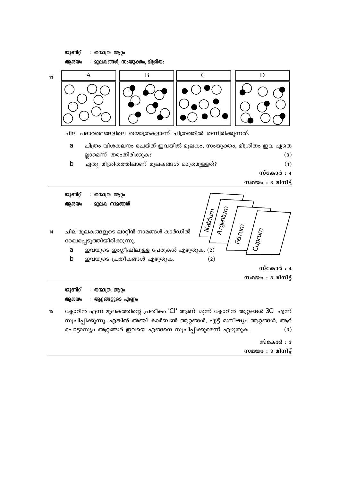യുണിറ്റ് : തന്മാത്ര, ആറ്റം : മൂലകങ്ങൾ, സംയുക്തം, മിശ്രിതം ആശയം



ചില പദാർത്ഥങ്ങളിലെ തന്മാത്രകളാണ് ചിത്രത്തിൽ തന്നിരിക്കുന്നത്.

- ചിത്രം വിശകലനം ചെയ്ത് ഇവയിൽ മൂലകം, സംയുക്തം, മിശ്രിതം ഇവ ഏതെ  $\mathbf{a}$ ല്ലാമെന്ന് തരംതിരിക്കുക?  $(3)$
- $<sub>b</sub>$ </sub> ഏതു മിശ്രിതത്തിലാണ് മൂലകങ്ങൾ മാത്രമുള്ളത്?  $(1)$ 
	- സ്കോർ : 4

സമയം :  $3$  മിനിട്ട്



ആശയം : ആറ്റങ്ങളുടെ എണ്ണം

ക്ലോറിൻ എന്ന മൂലകത്തിന്റെ പ്രതീകം 'CI' ആണ്. മൂന്ന് ക്ലോറിൻ ആറ്റങ്ങൾ  $3Cl$  എന്ന്  $15$ സൂചിപ്പിക്കുന്നു. എങ്കിൽ അഞ്ച് കാർബൺ ആറ്റങ്ങൾ, എട്ട് മഗ്നീഷ്യം ആറ്റങ്ങൾ, ആറ് പൊട്ടാസ്യം ആറ്റങ്ങൾ ഇവയെ എങ്ങനെ സൂചിപ്പിക്കുമെന്ന് എഴുതുക.  $(3)$ 

## സ്കോർ $: 3$ സമയം $: 3$  മിനിട്ട്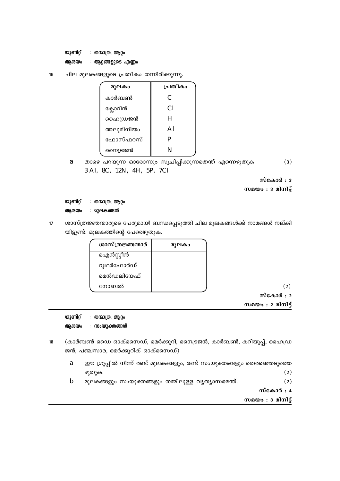യുണിറ്റ് : തന്മാത്ര, ആറ്റം ആശയം : ആറ്റങ്ങളുടെ എണ്ണം

 $16 \overline{6}$ ചില മൂലകങ്ങളുടെ പ്രതീകം തന്നിരിക്കുന്നു.

| മുലകം     | പ്രതീകം |
|-----------|---------|
| കാർബൺ     | C       |
| ക്ലോറിൻ   | CI      |
| ഹൈഡ്രജൻ   | H       |
| അലുമിനിയം | Al      |
| ഫോസ്ഫറസ്  | P       |
| നൈട്രജൻ   | N       |

താഴെ പറയുന്ന ഓരോന്നും സൂചിപ്പിക്കുന്നതെന്ത് എന്നെഴുതുക  $(3)$ a 3 Al, 8C, 12N, 4H, 5P, 7Cl

 $\tilde{\text{m}}$ കോർ: 3

 $m$ മയം : 3 മിനിട്ട്

യുണിറ്റ് : തന്മാത്ര, ആറ്റം ആശയം : മൂലകങ്ങൾ

 $17$ ശാസ്ത്രജ്ഞന്മാരുടെ പേരുമായി ബന്ധപ്പെടുത്തി ചില മൂലകങ്ങൾക്ക് നാമങ്ങൾ നല്കി യിട്ടുണ്ട്. മൂലകത്തിന്റെ പേരെഴുതുക.

| ശാസ്ത്രജ്ഞന്മാർ | മുലകം |
|-----------------|-------|
| ഐൻസ്റ്റീൻ       |       |
| റുഥർഫോർഡ്       |       |
| മെൻഡലിയേഫ്      |       |
| നോബൽ            |       |

 $(2)$ 

 $\omega$ ca $\omega$ d: 2

 $m$ മയം : 2 മിനിട്ട്

യൂണിറ് : തന്മാത്ര, ആറം

ആശയം : സംയുക്തങ്ങൾ

- (കാർബൺ ഡൈ ഓക്സൈഡ്, മെർക്കുറി, നൈട്രജൻ, കാർബൺ, കറിയുപ്പ്, ഹൈഡ്ര 18 ജൻ, പഞ്ചസാര, മെർക്കുറിക് ഓക്സൈഡ്)
	- ഈ ഗ്രൂപ്പിൽ നിന്ന് രണ്ട് മൂലകങ്ങളും, രണ്ട് സംയുക്തങ്ങളും തെരഞ്ഞെടുത്തെ  $\mathbf{a}$ ഴുതുക.  $(2)$
	- $\mathbf b$ മൂലകങ്ങളും സംയുക്തങ്ങളും തമ്മിലുള്ള വ്യത്യാസമെന്ത്.  $(2)$

സ്കോർ $: 4$ 

സമയം :  $3$  മിനിട്ട്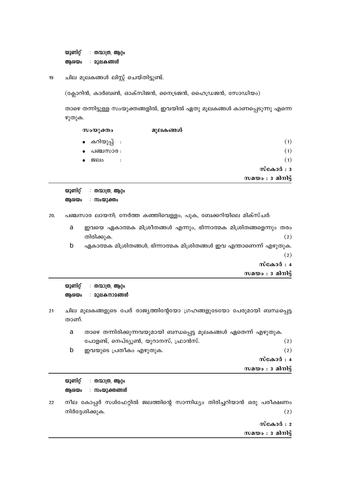യുണിറ്റ് : തന്മാത്ര, ആറ്റം ആശയം : മൂലകങ്ങൾ

ചില മൂലകങ്ങൾ ലിസ്റ്റ് ചെയ്തിട്ടുണ്ട്. 19

(ക്ലോറിൻ, കാർബൺ, ഓക്സിജൻ, നൈട്രജൻ, ഹൈഡ്രജൻ, സോഡിയം)

താഴെ തന്നിട്ടുള്ള സംയുക്തങ്ങളിൽ, ഇവയിൽ ഏതു മൂലകങ്ങൾ കാണപ്പെടുന്നു എന്നെ ഴുതുക.

|                   | മൂലകങ്ങൾ | സംയുക്തം                    |           |
|-------------------|----------|-----------------------------|-----------|
| (1)               |          | ∙ കറിയുപ്പ് ∶               |           |
| (1)               |          | പഞ്ചസാര :                   | $\bullet$ |
| (1)               |          | ജലം<br>$\ddot{\phantom{a}}$ |           |
| സ്കോർ $: 3$       |          |                             |           |
| സമയം : 3 മിനിട്ട് |          |                             |           |

| യുണിറ്റ് | തന്മാത്ര, ആറ്റം |
|----------|-----------------|
| ആശയം     | ∶ സംയുക്തം      |

20. പഞ്ചസാര ലായനി; നേർത്ത കഞ്ഞിവെള്ളം, പുക, ബേക്കറിയിലെ മിക്സ്ചർ:

- ഇവയെ ഏകാത്മക മിശ്രീതങ്ങൾ എന്നും, ഭിന്നാത്മക മിശ്രിതങ്ങളെന്നും തരം a  $(2)$ തിരിക്കുക.
- $\mathbf b$ ഏകാത്മക മിശ്രിതങ്ങൾ; ഭിന്നാത്മക മിശ്രിതങ്ങൾ ഇവ എന്താണെന്ന് എഴുതുക.  $(2)$ 
	- സ്കോർ : 4
	- സമയം  $: 3$  മിനിട്ട്

യൂണിറ്റ് : തന്മാത്ര, ആറ്റം : മൂലകനാമങ്ങൾ ആശയം

 $21$ ചില മൂലകങ്ങളുടെ പേര് രാജ്യത്തിന്റേയോ ഗ്രഹങ്ങളുടേയോ പേരുമായി ബന്ധപ്പെട്ട താണ്.

|   |                                                                 | സമയം $: 3$ മിനിട്ട് |
|---|-----------------------------------------------------------------|---------------------|
|   |                                                                 | സ്കോർ : 4           |
|   | ഇവയുടെ പ്രതീകം എഴുതുക.                                          | (2)                 |
|   | പോളണ്ട്, നെപ്ട്യൂൺ, യുറാനസ്, ഫ്രാൻസ്.                           | (2)                 |
| a | താഴെ തന്നിരിക്കുന്നവയുമായി ബന്ധപ്പെട്ട മൂലകങ്ങൾ ഏതെന്ന് എഴുതുക. |                     |

യുണിറ്റ് : തന്മാത്ര, ആറ്റം ആശയം : സംയുക്തങ്ങ**ൾ** 

22 നീല കോപ്പർ സൾഫേറ്റിൽ ജലത്തിന്റെ സാന്നിധ്യം തിരിച്ചറിയാൻ ഒരു പരീക്ഷണം നിർദ്ദേശിക്കുക.  $(2)$ 

> സ്കോർ $: 2$  $m$ മയം : 3 മിനിട്ട്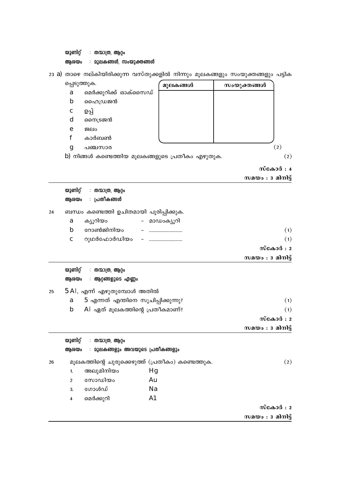| മെർക്കുറിക്ക് ഓക്സൈഡ്<br>a<br>$\mathbf b$<br>ഹൈഡ്രജൻ<br>ഉപ്പ്<br>$\mathbf c$<br>d<br>നൈട്രജൻ<br>ജലം<br>e<br>$\mathbf f$<br>കാർബൺ<br>(2)<br>g<br>പഞ്ചസാര<br>b) നിങ്ങൾ കണ്ടെത്തിയ മൂലകങ്ങളുടെ പ്രതീകം എഴുതുക.<br>(2)<br>സ്കോർ : 4<br>സമയം : 3 മിനിട്ട്<br>യുണിറ്റ്<br>: തന്മാത്ര, ആറ്റം<br>: പ്രതീക <b>ങ്ങ</b> ൾ<br>ആശയം<br>ബന്ധം കണ്ടെത്തി ഉചിതമായി പൂരിപ്പിക്കുക.<br>24<br>ക്യൂറിയം<br>മാഡംക്യൂറി<br>a<br>$\mathbf b$<br>റോൺജിനിയം<br>(1)<br>റുഥർഫോർഡിയം<br>(1)<br>$\mathbf c$<br>സ്കോർ : 2<br>സമയം $: 3$ മിനിട്ട്<br>യുണിറ്റ്<br>: തന്മാത്ര, ആറ്റം<br>ആശയം<br>: ആറ്റങ്ങളുടെ എണ്ണം<br>$5$ Al, എന്ന് എഴുതുമ്പോൾ അതിൽ<br>25<br>5 എന്നത് എന്തിനെ സൂചിപ്പിക്കുന്നു?<br>(1)<br>a<br>$AI$ ഏത് മൂലകത്തിന്റെ പ്രതീകമാണ്?<br>$\mathbf b$<br>(1)<br>സ്കോർ : 2<br>സമയം $: 3$ മിനിട്ട്<br>യുണിറ്റ്<br>: തന്മാത്ര, ആറ്റം<br>: മൂലകങ്ങളും അവയുടെ പ്രതീകങ്ങളും<br>ആശയം<br>മൂലകത്തിന്റെ ചുരുക്കെഴുത്ത് (പ്രതീകം) കണ്ടെത്തുക.<br>(2)<br>26<br>അലുമിനിയം<br>Hg<br>1.<br>സോഡിയം<br>Au<br>$\overline{2}$<br>ഗോൾഡ്<br>Na<br>3.<br>A1<br>മെർക്കുറി<br>$\overline{\mathbf{4}}$<br>സ്കോർ : 2 |  | പ്പെടുത്തുക. | മൂലകങ്ങൾ | സംയുക്തങ്ങൾ         |
|----------------------------------------------------------------------------------------------------------------------------------------------------------------------------------------------------------------------------------------------------------------------------------------------------------------------------------------------------------------------------------------------------------------------------------------------------------------------------------------------------------------------------------------------------------------------------------------------------------------------------------------------------------------------------------------------------------------------------------------------------------------------------------------------------------------------------------------------------------------------------------------------------------------------------------------------------------------------------------------------------------------------------------------------------------------------|--|--------------|----------|---------------------|
|                                                                                                                                                                                                                                                                                                                                                                                                                                                                                                                                                                                                                                                                                                                                                                                                                                                                                                                                                                                                                                                                      |  |              |          |                     |
|                                                                                                                                                                                                                                                                                                                                                                                                                                                                                                                                                                                                                                                                                                                                                                                                                                                                                                                                                                                                                                                                      |  |              |          |                     |
|                                                                                                                                                                                                                                                                                                                                                                                                                                                                                                                                                                                                                                                                                                                                                                                                                                                                                                                                                                                                                                                                      |  |              |          |                     |
|                                                                                                                                                                                                                                                                                                                                                                                                                                                                                                                                                                                                                                                                                                                                                                                                                                                                                                                                                                                                                                                                      |  |              |          |                     |
|                                                                                                                                                                                                                                                                                                                                                                                                                                                                                                                                                                                                                                                                                                                                                                                                                                                                                                                                                                                                                                                                      |  |              |          |                     |
|                                                                                                                                                                                                                                                                                                                                                                                                                                                                                                                                                                                                                                                                                                                                                                                                                                                                                                                                                                                                                                                                      |  |              |          |                     |
|                                                                                                                                                                                                                                                                                                                                                                                                                                                                                                                                                                                                                                                                                                                                                                                                                                                                                                                                                                                                                                                                      |  |              |          |                     |
|                                                                                                                                                                                                                                                                                                                                                                                                                                                                                                                                                                                                                                                                                                                                                                                                                                                                                                                                                                                                                                                                      |  |              |          |                     |
|                                                                                                                                                                                                                                                                                                                                                                                                                                                                                                                                                                                                                                                                                                                                                                                                                                                                                                                                                                                                                                                                      |  |              |          |                     |
|                                                                                                                                                                                                                                                                                                                                                                                                                                                                                                                                                                                                                                                                                                                                                                                                                                                                                                                                                                                                                                                                      |  |              |          |                     |
|                                                                                                                                                                                                                                                                                                                                                                                                                                                                                                                                                                                                                                                                                                                                                                                                                                                                                                                                                                                                                                                                      |  |              |          |                     |
|                                                                                                                                                                                                                                                                                                                                                                                                                                                                                                                                                                                                                                                                                                                                                                                                                                                                                                                                                                                                                                                                      |  |              |          |                     |
|                                                                                                                                                                                                                                                                                                                                                                                                                                                                                                                                                                                                                                                                                                                                                                                                                                                                                                                                                                                                                                                                      |  |              |          |                     |
|                                                                                                                                                                                                                                                                                                                                                                                                                                                                                                                                                                                                                                                                                                                                                                                                                                                                                                                                                                                                                                                                      |  |              |          |                     |
|                                                                                                                                                                                                                                                                                                                                                                                                                                                                                                                                                                                                                                                                                                                                                                                                                                                                                                                                                                                                                                                                      |  |              |          |                     |
|                                                                                                                                                                                                                                                                                                                                                                                                                                                                                                                                                                                                                                                                                                                                                                                                                                                                                                                                                                                                                                                                      |  |              |          |                     |
|                                                                                                                                                                                                                                                                                                                                                                                                                                                                                                                                                                                                                                                                                                                                                                                                                                                                                                                                                                                                                                                                      |  |              |          |                     |
|                                                                                                                                                                                                                                                                                                                                                                                                                                                                                                                                                                                                                                                                                                                                                                                                                                                                                                                                                                                                                                                                      |  |              |          |                     |
|                                                                                                                                                                                                                                                                                                                                                                                                                                                                                                                                                                                                                                                                                                                                                                                                                                                                                                                                                                                                                                                                      |  |              |          |                     |
|                                                                                                                                                                                                                                                                                                                                                                                                                                                                                                                                                                                                                                                                                                                                                                                                                                                                                                                                                                                                                                                                      |  |              |          |                     |
|                                                                                                                                                                                                                                                                                                                                                                                                                                                                                                                                                                                                                                                                                                                                                                                                                                                                                                                                                                                                                                                                      |  |              |          |                     |
|                                                                                                                                                                                                                                                                                                                                                                                                                                                                                                                                                                                                                                                                                                                                                                                                                                                                                                                                                                                                                                                                      |  |              |          |                     |
|                                                                                                                                                                                                                                                                                                                                                                                                                                                                                                                                                                                                                                                                                                                                                                                                                                                                                                                                                                                                                                                                      |  |              |          |                     |
|                                                                                                                                                                                                                                                                                                                                                                                                                                                                                                                                                                                                                                                                                                                                                                                                                                                                                                                                                                                                                                                                      |  |              |          |                     |
|                                                                                                                                                                                                                                                                                                                                                                                                                                                                                                                                                                                                                                                                                                                                                                                                                                                                                                                                                                                                                                                                      |  |              |          |                     |
|                                                                                                                                                                                                                                                                                                                                                                                                                                                                                                                                                                                                                                                                                                                                                                                                                                                                                                                                                                                                                                                                      |  |              |          |                     |
|                                                                                                                                                                                                                                                                                                                                                                                                                                                                                                                                                                                                                                                                                                                                                                                                                                                                                                                                                                                                                                                                      |  |              |          |                     |
|                                                                                                                                                                                                                                                                                                                                                                                                                                                                                                                                                                                                                                                                                                                                                                                                                                                                                                                                                                                                                                                                      |  |              |          |                     |
|                                                                                                                                                                                                                                                                                                                                                                                                                                                                                                                                                                                                                                                                                                                                                                                                                                                                                                                                                                                                                                                                      |  |              |          |                     |
|                                                                                                                                                                                                                                                                                                                                                                                                                                                                                                                                                                                                                                                                                                                                                                                                                                                                                                                                                                                                                                                                      |  |              |          |                     |
|                                                                                                                                                                                                                                                                                                                                                                                                                                                                                                                                                                                                                                                                                                                                                                                                                                                                                                                                                                                                                                                                      |  |              |          |                     |
|                                                                                                                                                                                                                                                                                                                                                                                                                                                                                                                                                                                                                                                                                                                                                                                                                                                                                                                                                                                                                                                                      |  |              |          |                     |
|                                                                                                                                                                                                                                                                                                                                                                                                                                                                                                                                                                                                                                                                                                                                                                                                                                                                                                                                                                                                                                                                      |  |              |          |                     |
|                                                                                                                                                                                                                                                                                                                                                                                                                                                                                                                                                                                                                                                                                                                                                                                                                                                                                                                                                                                                                                                                      |  |              |          |                     |
|                                                                                                                                                                                                                                                                                                                                                                                                                                                                                                                                                                                                                                                                                                                                                                                                                                                                                                                                                                                                                                                                      |  |              |          | സമയം : $3$ മിനിട്ട് |

23 a) താഴെ നല്കിയിരിക്കുന്ന വസ്തുക്കളിൽ നിന്നും മൂലകങ്ങളും സംയുക്തങ്ങളും പട്ടിക

ആരയം : മൂലകങ്ങൾ, സംയുക്തങ്ങൾ

യൂണിറ്റ് : തന്മാത്ര, ആറ്റം